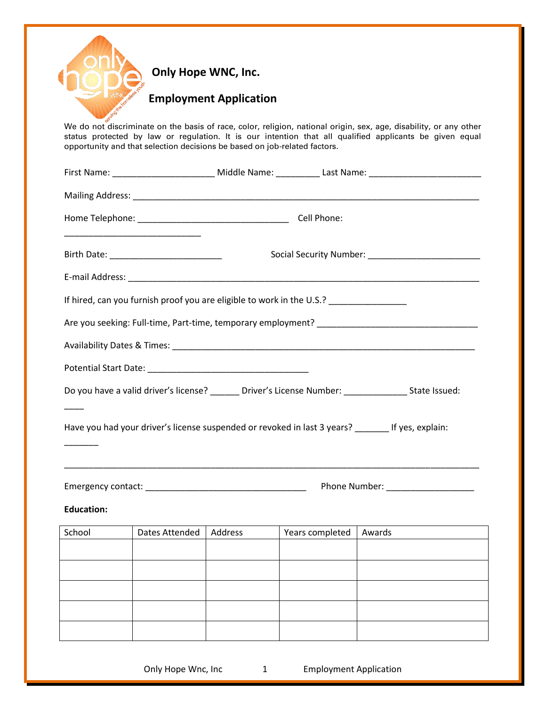|                   |                                                                                    | <b>Employment Application</b>                    |                 |                                                                                                                                                                                                                              |  |  |
|-------------------|------------------------------------------------------------------------------------|--------------------------------------------------|-----------------|------------------------------------------------------------------------------------------------------------------------------------------------------------------------------------------------------------------------------|--|--|
|                   | opportunity and that selection decisions be based on job-related factors.          |                                                  |                 | We do not discriminate on the basis of race, color, religion, national origin, sex, age, disability, or any other<br>status protected by law or regulation. It is our intention that all qualified applicants be given equal |  |  |
|                   |                                                                                    |                                                  |                 | First Name: _____________________________ Middle Name: ____________ Last Name: ___________________________                                                                                                                   |  |  |
|                   |                                                                                    |                                                  |                 |                                                                                                                                                                                                                              |  |  |
|                   |                                                                                    |                                                  |                 |                                                                                                                                                                                                                              |  |  |
|                   |                                                                                    | Birth Date: National Property of the Birth Date: |                 |                                                                                                                                                                                                                              |  |  |
|                   |                                                                                    |                                                  |                 |                                                                                                                                                                                                                              |  |  |
|                   | If hired, can you furnish proof you are eligible to work in the U.S.? ____________ |                                                  |                 |                                                                                                                                                                                                                              |  |  |
|                   |                                                                                    |                                                  |                 | Are you seeking: Full-time, Part-time, temporary employment?                                                                                                                                                                 |  |  |
|                   |                                                                                    |                                                  |                 |                                                                                                                                                                                                                              |  |  |
|                   |                                                                                    |                                                  |                 |                                                                                                                                                                                                                              |  |  |
|                   |                                                                                    |                                                  |                 | Do you have a valid driver's license? ______ Driver's License Number: ______________ State Issued:                                                                                                                           |  |  |
|                   |                                                                                    |                                                  |                 | Have you had your driver's license suspended or revoked in last 3 years? _______ If yes, explain:                                                                                                                            |  |  |
|                   |                                                                                    |                                                  |                 |                                                                                                                                                                                                                              |  |  |
| <b>Education:</b> |                                                                                    |                                                  |                 |                                                                                                                                                                                                                              |  |  |
|                   | Dates Attended                                                                     | Address                                          | Years completed | Awards                                                                                                                                                                                                                       |  |  |
| School            |                                                                                    |                                                  |                 |                                                                                                                                                                                                                              |  |  |
|                   |                                                                                    |                                                  |                 |                                                                                                                                                                                                                              |  |  |
|                   |                                                                                    |                                                  |                 |                                                                                                                                                                                                                              |  |  |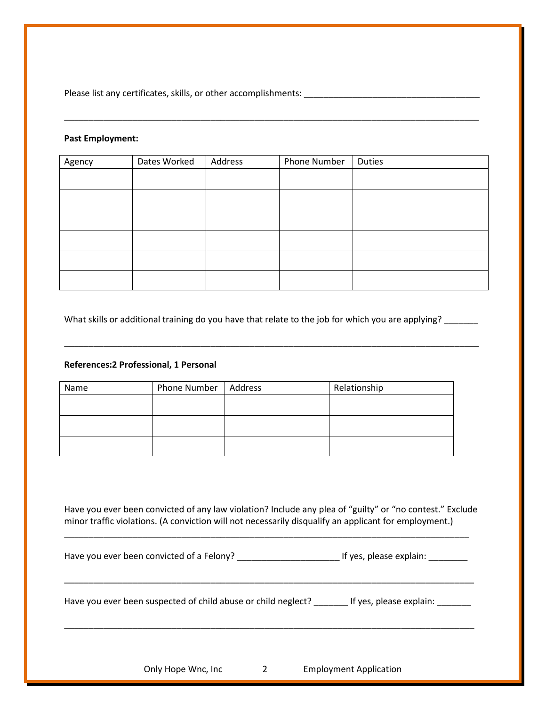Please list any certificates, skills, or other accomplishments: \_\_\_\_\_\_\_\_\_\_\_\_\_\_\_\_\_\_\_\_\_\_\_\_\_\_\_\_\_\_\_\_\_\_\_\_

## **Past Employment:**

| Agency | Dates Worked | Address | Phone Number | Duties |
|--------|--------------|---------|--------------|--------|
|        |              |         |              |        |
|        |              |         |              |        |
|        |              |         |              |        |
|        |              |         |              |        |
|        |              |         |              |        |
|        |              |         |              |        |

\_\_\_\_\_\_\_\_\_\_\_\_\_\_\_\_\_\_\_\_\_\_\_\_\_\_\_\_\_\_\_\_\_\_\_\_\_\_\_\_\_\_\_\_\_\_\_\_\_\_\_\_\_\_\_\_\_\_\_\_\_\_\_\_\_\_\_\_\_\_\_\_\_\_\_\_\_\_\_\_\_\_\_\_\_

What skills or additional training do you have that relate to the job for which you are applying? \_\_\_\_\_\_

\_\_\_\_\_\_\_\_\_\_\_\_\_\_\_\_\_\_\_\_\_\_\_\_\_\_\_\_\_\_\_\_\_\_\_\_\_\_\_\_\_\_\_\_\_\_\_\_\_\_\_\_\_\_\_\_\_\_\_\_\_\_\_\_\_\_\_\_\_\_\_\_\_\_\_\_\_\_\_\_\_\_\_\_\_

## **References:2 Professional, 1 Personal**

| Name | Phone Number   Address | Relationship |
|------|------------------------|--------------|
|      |                        |              |
|      |                        |              |
|      |                        |              |
|      |                        |              |
|      |                        |              |
|      |                        |              |

Have you ever been convicted of any law violation? Include any plea of "guilty" or "no contest." Exclude minor traffic violations. (A conviction will not necessarily disqualify an applicant for employment.)

\_\_\_\_\_\_\_\_\_\_\_\_\_\_\_\_\_\_\_\_\_\_\_\_\_\_\_\_\_\_\_\_\_\_\_\_\_\_\_\_\_\_\_\_\_\_\_\_\_\_\_\_\_\_\_\_\_\_\_\_\_\_\_\_\_\_\_\_\_\_\_\_\_\_\_\_\_\_\_\_\_\_\_

\_\_\_\_\_\_\_\_\_\_\_\_\_\_\_\_\_\_\_\_\_\_\_\_\_\_\_\_\_\_\_\_\_\_\_\_\_\_\_\_\_\_\_\_\_\_\_\_\_\_\_\_\_\_\_\_\_\_\_\_\_\_\_\_\_\_\_\_\_\_\_\_\_\_\_\_\_\_\_\_\_\_\_\_

\_\_\_\_\_\_\_\_\_\_\_\_\_\_\_\_\_\_\_\_\_\_\_\_\_\_\_\_\_\_\_\_\_\_\_\_\_\_\_\_\_\_\_\_\_\_\_\_\_\_\_\_\_\_\_\_\_\_\_\_\_\_\_\_\_\_\_\_\_\_\_\_\_\_\_\_\_\_\_\_\_\_\_\_

Have you ever been convicted of a Felony? \_\_\_\_\_\_\_\_\_\_\_\_\_\_\_\_\_\_\_\_\_ If yes, please explain: \_\_\_\_\_\_\_\_

Have you ever been suspected of child abuse or child neglect? \_\_\_\_\_\_\_ If yes, please explain: \_\_\_\_\_\_

Only Hope Wnc, Inc 2 Employment Application